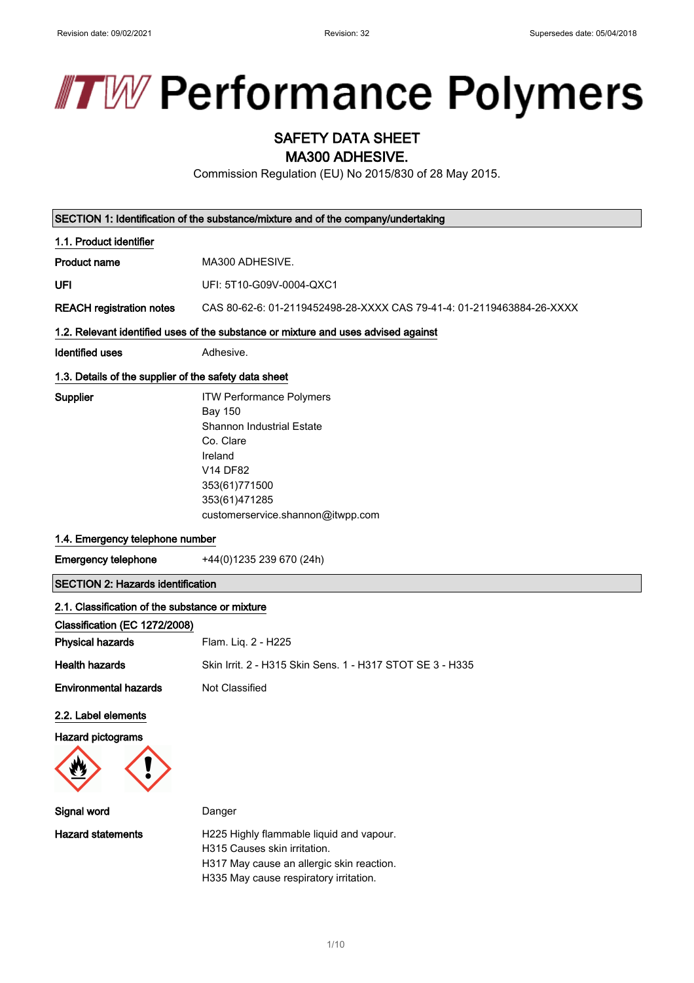

# SAFETY DATA SHEET

MA300 ADHESIVE.

Commission Regulation (EU) No 2015/830 of 28 May 2015.

|                                                        | SECTION 1: Identification of the substance/mixture and of the company/undertaking                                                                                                                |  |  |  |  |
|--------------------------------------------------------|--------------------------------------------------------------------------------------------------------------------------------------------------------------------------------------------------|--|--|--|--|
| 1.1. Product identifier                                |                                                                                                                                                                                                  |  |  |  |  |
| <b>Product name</b>                                    | MA300 ADHESIVE.                                                                                                                                                                                  |  |  |  |  |
| UFI                                                    | UFI: 5T10-G09V-0004-QXC1                                                                                                                                                                         |  |  |  |  |
| <b>REACH registration notes</b>                        | CAS 80-62-6: 01-2119452498-28-XXXX CAS 79-41-4: 01-2119463884-26-XXXX                                                                                                                            |  |  |  |  |
|                                                        | 1.2. Relevant identified uses of the substance or mixture and uses advised against                                                                                                               |  |  |  |  |
| <b>Identified uses</b>                                 | Adhesive.                                                                                                                                                                                        |  |  |  |  |
| 1.3. Details of the supplier of the safety data sheet  |                                                                                                                                                                                                  |  |  |  |  |
| Supplier                                               | <b>ITW Performance Polymers</b><br><b>Bay 150</b><br><b>Shannon Industrial Estate</b><br>Co. Clare<br>Ireland<br>V14 DF82<br>353(61)771500<br>353(61)471285<br>customerservice.shannon@itwpp.com |  |  |  |  |
| 1.4. Emergency telephone number                        |                                                                                                                                                                                                  |  |  |  |  |
| <b>Emergency telephone</b><br>+44(0)1235 239 670 (24h) |                                                                                                                                                                                                  |  |  |  |  |
| <b>SECTION 2: Hazards identification</b>               |                                                                                                                                                                                                  |  |  |  |  |
| 2.1. Classification of the substance or mixture        |                                                                                                                                                                                                  |  |  |  |  |
| Classification (EC 1272/2008)                          |                                                                                                                                                                                                  |  |  |  |  |
| <b>Physical hazards</b>                                | Flam. Liq. 2 - H225                                                                                                                                                                              |  |  |  |  |
| <b>Health hazards</b>                                  | Skin Irrit. 2 - H315 Skin Sens. 1 - H317 STOT SE 3 - H335                                                                                                                                        |  |  |  |  |
| <b>Environmental hazards</b>                           | Not Classified                                                                                                                                                                                   |  |  |  |  |
| 2.2. Label elements                                    |                                                                                                                                                                                                  |  |  |  |  |
| Hazard pictograms                                      |                                                                                                                                                                                                  |  |  |  |  |
|                                                        |                                                                                                                                                                                                  |  |  |  |  |
| Signal word                                            | Danger                                                                                                                                                                                           |  |  |  |  |
| <b>Hazard statements</b>                               | H225 Highly flammable liquid and vapour.<br>H315 Causes skin irritation.<br>H317 May cause an allergic skin reaction.<br>H335 May cause respiratory irritation.                                  |  |  |  |  |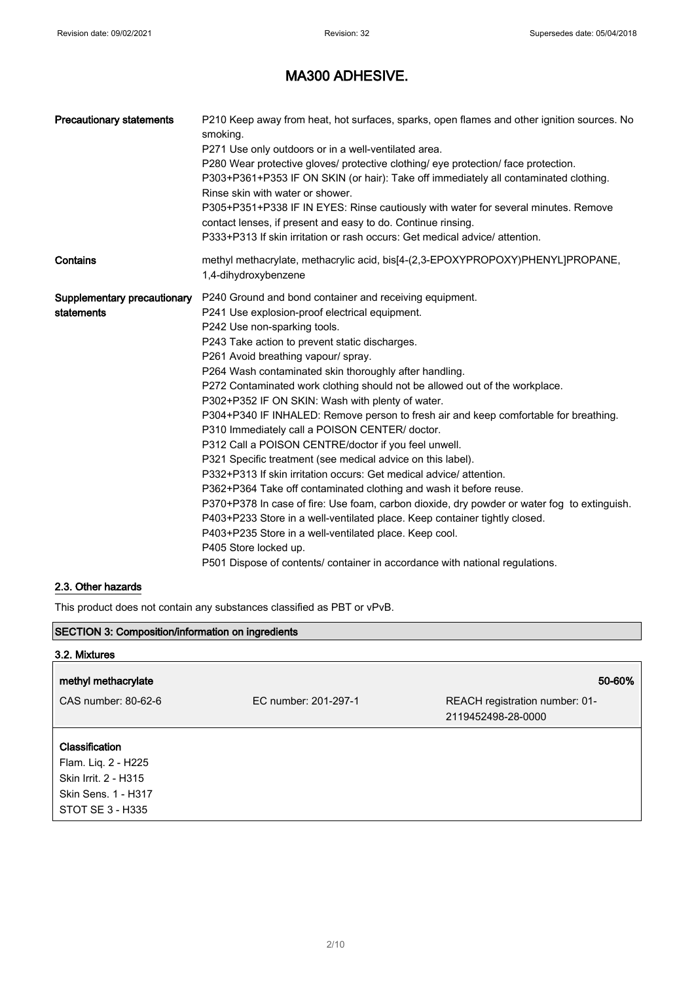| <b>Precautionary statements</b>           | P210 Keep away from heat, hot surfaces, sparks, open flames and other ignition sources. No<br>smoking.<br>P271 Use only outdoors or in a well-ventilated area.<br>P280 Wear protective gloves/ protective clothing/ eye protection/ face protection.<br>P303+P361+P353 IF ON SKIN (or hair): Take off immediately all contaminated clothing.<br>Rinse skin with water or shower.<br>P305+P351+P338 IF IN EYES: Rinse cautiously with water for several minutes. Remove<br>contact lenses, if present and easy to do. Continue rinsing.<br>P333+P313 If skin irritation or rash occurs: Get medical advice/ attention.                                                                                                                                                                                                                                                                                                                                                                                                                                                                                                                                                                        |
|-------------------------------------------|----------------------------------------------------------------------------------------------------------------------------------------------------------------------------------------------------------------------------------------------------------------------------------------------------------------------------------------------------------------------------------------------------------------------------------------------------------------------------------------------------------------------------------------------------------------------------------------------------------------------------------------------------------------------------------------------------------------------------------------------------------------------------------------------------------------------------------------------------------------------------------------------------------------------------------------------------------------------------------------------------------------------------------------------------------------------------------------------------------------------------------------------------------------------------------------------|
| Contains                                  | methyl methacrylate, methacrylic acid, bis[4-(2,3-EPOXYPROPOXY)PHENYL]PROPANE,<br>1,4-dihydroxybenzene                                                                                                                                                                                                                                                                                                                                                                                                                                                                                                                                                                                                                                                                                                                                                                                                                                                                                                                                                                                                                                                                                       |
| Supplementary precautionary<br>statements | P240 Ground and bond container and receiving equipment.<br>P241 Use explosion-proof electrical equipment.<br>P242 Use non-sparking tools.<br>P243 Take action to prevent static discharges.<br>P261 Avoid breathing vapour/ spray.<br>P264 Wash contaminated skin thoroughly after handling.<br>P272 Contaminated work clothing should not be allowed out of the workplace.<br>P302+P352 IF ON SKIN: Wash with plenty of water.<br>P304+P340 IF INHALED: Remove person to fresh air and keep comfortable for breathing.<br>P310 Immediately call a POISON CENTER/ doctor.<br>P312 Call a POISON CENTRE/doctor if you feel unwell.<br>P321 Specific treatment (see medical advice on this label).<br>P332+P313 If skin irritation occurs: Get medical advice/attention.<br>P362+P364 Take off contaminated clothing and wash it before reuse.<br>P370+P378 In case of fire: Use foam, carbon dioxide, dry powder or water fog to extinguish.<br>P403+P233 Store in a well-ventilated place. Keep container tightly closed.<br>P403+P235 Store in a well-ventilated place. Keep cool.<br>P405 Store locked up.<br>P501 Dispose of contents/ container in accordance with national regulations. |

### 2.3. Other hazards

This product does not contain any substances classified as PBT or vPvB.

| <b>SECTION 3: Composition/information on ingredients</b> |                      |                                                      |  |
|----------------------------------------------------------|----------------------|------------------------------------------------------|--|
| 3.2. Mixtures                                            |                      |                                                      |  |
| methyl methacrylate                                      |                      | 50-60%                                               |  |
| CAS number: 80-62-6                                      | EC number: 201-297-1 | REACH registration number: 01-<br>2119452498-28-0000 |  |
| Classification                                           |                      |                                                      |  |
| Flam. Liq. 2 - H225<br>Skin Irrit. 2 - H315              |                      |                                                      |  |
| Skin Sens. 1 - H317                                      |                      |                                                      |  |
| STOT SE 3 - H335                                         |                      |                                                      |  |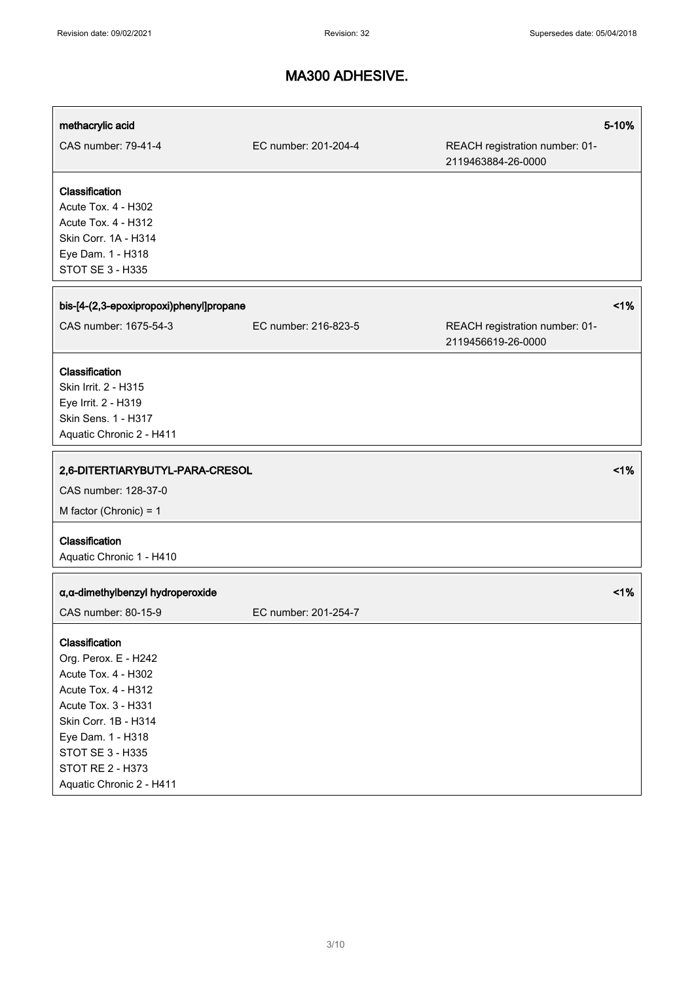| methacrylic acid                                                                                                                                                                                        |                      |                                                      | 5-10% |
|---------------------------------------------------------------------------------------------------------------------------------------------------------------------------------------------------------|----------------------|------------------------------------------------------|-------|
| CAS number: 79-41-4                                                                                                                                                                                     | EC number: 201-204-4 | REACH registration number: 01-<br>2119463884-26-0000 |       |
| Classification<br>Acute Tox. 4 - H302<br>Acute Tox. 4 - H312<br>Skin Corr. 1A - H314<br>Eye Dam. 1 - H318<br>STOT SE 3 - H335                                                                           |                      |                                                      |       |
| bis-[4-(2,3-epoxipropoxi)phenyl]propane                                                                                                                                                                 |                      |                                                      | 1%    |
| CAS number: 1675-54-3                                                                                                                                                                                   | EC number: 216-823-5 | REACH registration number: 01-<br>2119456619-26-0000 |       |
| Classification<br>Skin Irrit. 2 - H315<br>Eye Irrit. 2 - H319<br>Skin Sens. 1 - H317<br>Aquatic Chronic 2 - H411                                                                                        |                      |                                                      |       |
| 2,6-DITERTIARYBUTYL-PARA-CRESOL<br>CAS number: 128-37-0<br>M factor (Chronic) = $1$                                                                                                                     |                      |                                                      | 1%    |
| Classification<br>Aquatic Chronic 1 - H410                                                                                                                                                              |                      |                                                      |       |
| a, a-dimethylbenzyl hydroperoxide<br>CAS number: 80-15-9                                                                                                                                                | EC number: 201-254-7 |                                                      | 1%    |
| Classification<br>Org. Perox. E - H242<br>Acute Tox. 4 - H302<br>Acute Tox. 4 - H312<br><b>Acute Tox. 3 - H331</b><br>Skin Corr. 1B - H314<br>Eye Dam. 1 - H318<br>STOT SE 3 - H335<br>STOT RE 2 - H373 |                      |                                                      |       |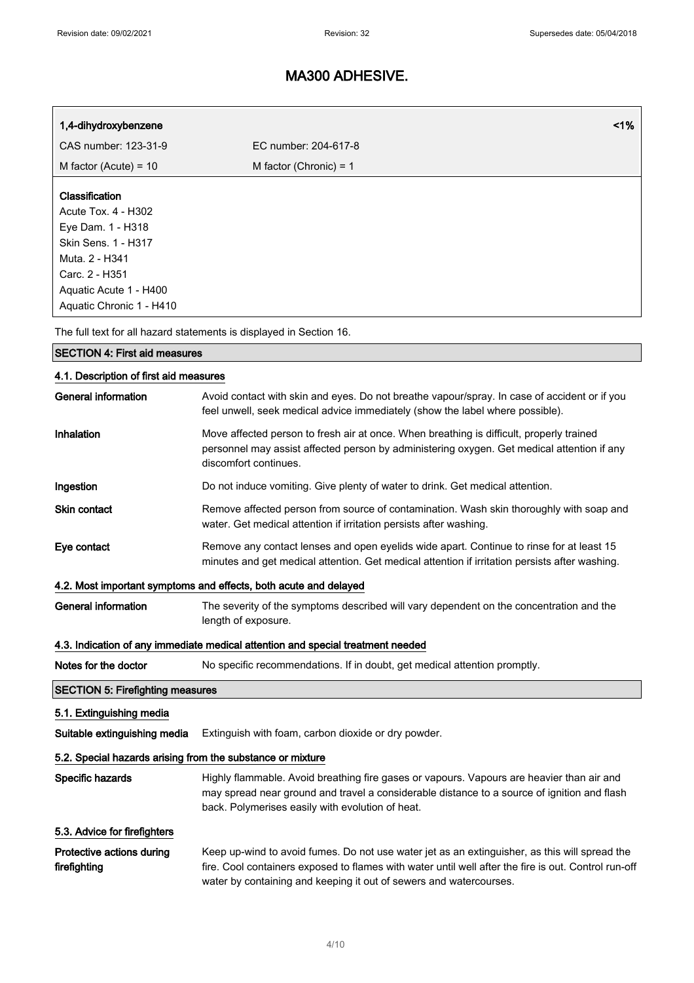| 1,4-dihydroxybenzene                                                                                                                                                               | 1%                                                                                                                                                                                                                                           |  |  |  |
|------------------------------------------------------------------------------------------------------------------------------------------------------------------------------------|----------------------------------------------------------------------------------------------------------------------------------------------------------------------------------------------------------------------------------------------|--|--|--|
| CAS number: 123-31-9                                                                                                                                                               | EC number: 204-617-8                                                                                                                                                                                                                         |  |  |  |
| M factor (Acute) = $10$                                                                                                                                                            | M factor (Chronic) = $1$                                                                                                                                                                                                                     |  |  |  |
| Classification<br>Acute Tox. 4 - H302<br>Eye Dam. 1 - H318<br><b>Skin Sens. 1 - H317</b><br>Muta. 2 - H341<br>Carc. 2 - H351<br>Aquatic Acute 1 - H400<br>Aquatic Chronic 1 - H410 |                                                                                                                                                                                                                                              |  |  |  |
|                                                                                                                                                                                    | The full text for all hazard statements is displayed in Section 16.                                                                                                                                                                          |  |  |  |
| <b>SECTION 4: First aid measures</b>                                                                                                                                               |                                                                                                                                                                                                                                              |  |  |  |
| 4.1. Description of first aid measures                                                                                                                                             |                                                                                                                                                                                                                                              |  |  |  |
| <b>General information</b>                                                                                                                                                         | Avoid contact with skin and eyes. Do not breathe vapour/spray. In case of accident or if you<br>feel unwell, seek medical advice immediately (show the label where possible).                                                                |  |  |  |
| Inhalation                                                                                                                                                                         | Move affected person to fresh air at once. When breathing is difficult, properly trained<br>personnel may assist affected person by administering oxygen. Get medical attention if any<br>discomfort continues.                              |  |  |  |
| Ingestion                                                                                                                                                                          | Do not induce vomiting. Give plenty of water to drink. Get medical attention.                                                                                                                                                                |  |  |  |
| <b>Skin contact</b>                                                                                                                                                                | Remove affected person from source of contamination. Wash skin thoroughly with soap and<br>water. Get medical attention if irritation persists after washing.                                                                                |  |  |  |
| Eye contact                                                                                                                                                                        | Remove any contact lenses and open eyelids wide apart. Continue to rinse for at least 15<br>minutes and get medical attention. Get medical attention if irritation persists after washing.                                                   |  |  |  |
|                                                                                                                                                                                    | 4.2. Most important symptoms and effects, both acute and delayed                                                                                                                                                                             |  |  |  |
| <b>General information</b><br>The severity of the symptoms described will vary dependent on the concentration and the<br>length of exposure.                                       |                                                                                                                                                                                                                                              |  |  |  |
| 4.3. Indication of any immediate medical attention and special treatment needed                                                                                                    |                                                                                                                                                                                                                                              |  |  |  |
| Notes for the doctor                                                                                                                                                               | No specific recommendations. If in doubt, get medical attention promptly.                                                                                                                                                                    |  |  |  |
| <b>SECTION 5: Firefighting measures</b>                                                                                                                                            |                                                                                                                                                                                                                                              |  |  |  |
| 5.1. Extinguishing media                                                                                                                                                           |                                                                                                                                                                                                                                              |  |  |  |
| Suitable extinguishing media                                                                                                                                                       | Extinguish with foam, carbon dioxide or dry powder.                                                                                                                                                                                          |  |  |  |
| 5.2. Special hazards arising from the substance or mixture                                                                                                                         |                                                                                                                                                                                                                                              |  |  |  |
| Specific hazards                                                                                                                                                                   | Highly flammable. Avoid breathing fire gases or vapours. Vapours are heavier than air and<br>may spread near ground and travel a considerable distance to a source of ignition and flash<br>back. Polymerises easily with evolution of heat. |  |  |  |
| 5.3. Advice for firefighters                                                                                                                                                       |                                                                                                                                                                                                                                              |  |  |  |
| Protective actions during<br>firefighting                                                                                                                                          | Keep up-wind to avoid fumes. Do not use water jet as an extinguisher, as this will spread the<br>fire. Cool containers exposed to flames with water until well after the fire is out. Control run-off                                        |  |  |  |

water by containing and keeping it out of sewers and watercourses.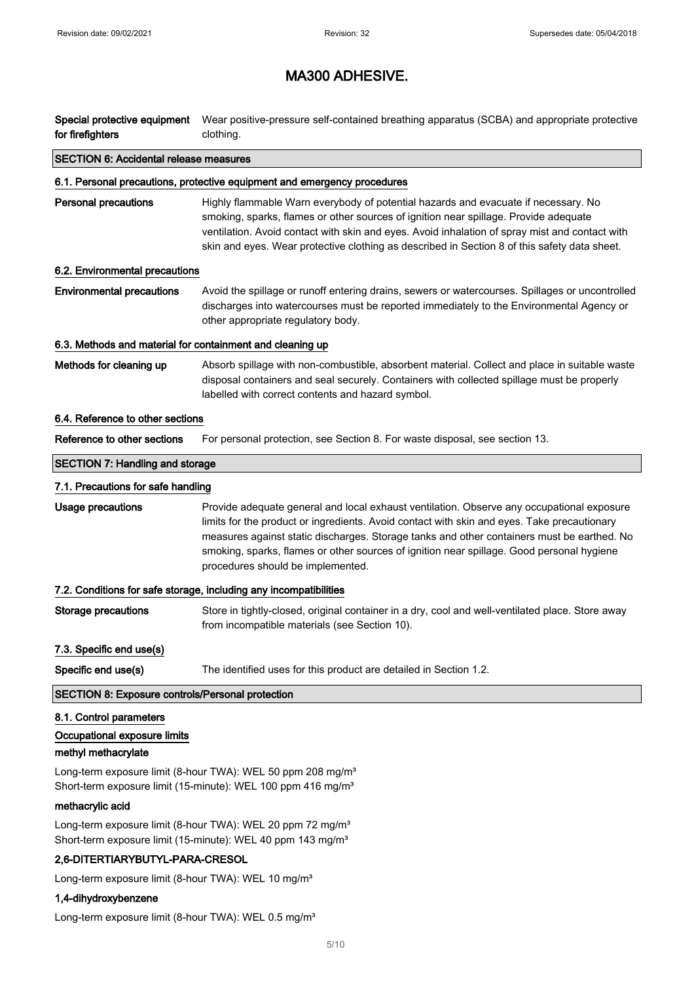| Special protective equipment<br>for firefighters                                                                                                    | Wear positive-pressure self-contained breathing apparatus (SCBA) and appropriate protective<br>clothing.                                                                                                                                                                                                                                                                                                                 |  |  |  |  |  |
|-----------------------------------------------------------------------------------------------------------------------------------------------------|--------------------------------------------------------------------------------------------------------------------------------------------------------------------------------------------------------------------------------------------------------------------------------------------------------------------------------------------------------------------------------------------------------------------------|--|--|--|--|--|
| <b>SECTION 6: Accidental release measures</b>                                                                                                       |                                                                                                                                                                                                                                                                                                                                                                                                                          |  |  |  |  |  |
|                                                                                                                                                     | 6.1. Personal precautions, protective equipment and emergency procedures                                                                                                                                                                                                                                                                                                                                                 |  |  |  |  |  |
| <b>Personal precautions</b>                                                                                                                         | Highly flammable Warn everybody of potential hazards and evacuate if necessary. No<br>smoking, sparks, flames or other sources of ignition near spillage. Provide adequate<br>ventilation. Avoid contact with skin and eyes. Avoid inhalation of spray mist and contact with<br>skin and eyes. Wear protective clothing as described in Section 8 of this safety data sheet.                                             |  |  |  |  |  |
| 6.2. Environmental precautions                                                                                                                      |                                                                                                                                                                                                                                                                                                                                                                                                                          |  |  |  |  |  |
| <b>Environmental precautions</b>                                                                                                                    | Avoid the spillage or runoff entering drains, sewers or watercourses. Spillages or uncontrolled<br>discharges into watercourses must be reported immediately to the Environmental Agency or<br>other appropriate regulatory body.                                                                                                                                                                                        |  |  |  |  |  |
| 6.3. Methods and material for containment and cleaning up                                                                                           |                                                                                                                                                                                                                                                                                                                                                                                                                          |  |  |  |  |  |
| Methods for cleaning up                                                                                                                             | Absorb spillage with non-combustible, absorbent material. Collect and place in suitable waste<br>disposal containers and seal securely. Containers with collected spillage must be properly<br>labelled with correct contents and hazard symbol.                                                                                                                                                                         |  |  |  |  |  |
| 6.4. Reference to other sections                                                                                                                    |                                                                                                                                                                                                                                                                                                                                                                                                                          |  |  |  |  |  |
| Reference to other sections                                                                                                                         | For personal protection, see Section 8. For waste disposal, see section 13.                                                                                                                                                                                                                                                                                                                                              |  |  |  |  |  |
| <b>SECTION 7: Handling and storage</b>                                                                                                              |                                                                                                                                                                                                                                                                                                                                                                                                                          |  |  |  |  |  |
| 7.1. Precautions for safe handling                                                                                                                  |                                                                                                                                                                                                                                                                                                                                                                                                                          |  |  |  |  |  |
| <b>Usage precautions</b>                                                                                                                            | Provide adequate general and local exhaust ventilation. Observe any occupational exposure<br>limits for the product or ingredients. Avoid contact with skin and eyes. Take precautionary<br>measures against static discharges. Storage tanks and other containers must be earthed. No<br>smoking, sparks, flames or other sources of ignition near spillage. Good personal hygiene<br>procedures should be implemented. |  |  |  |  |  |
|                                                                                                                                                     | 7.2. Conditions for safe storage, including any incompatibilities                                                                                                                                                                                                                                                                                                                                                        |  |  |  |  |  |
| <b>Storage precautions</b>                                                                                                                          | Store in tightly-closed, original container in a dry, cool and well-ventilated place. Store away<br>from incompatible materials (see Section 10).                                                                                                                                                                                                                                                                        |  |  |  |  |  |
| 7.3. Specific end use(s)                                                                                                                            |                                                                                                                                                                                                                                                                                                                                                                                                                          |  |  |  |  |  |
| Specific end use(s)                                                                                                                                 | The identified uses for this product are detailed in Section 1.2.                                                                                                                                                                                                                                                                                                                                                        |  |  |  |  |  |
| <b>SECTION 8: Exposure controls/Personal protection</b>                                                                                             |                                                                                                                                                                                                                                                                                                                                                                                                                          |  |  |  |  |  |
| 8.1. Control parameters                                                                                                                             |                                                                                                                                                                                                                                                                                                                                                                                                                          |  |  |  |  |  |
| Occupational exposure limits                                                                                                                        |                                                                                                                                                                                                                                                                                                                                                                                                                          |  |  |  |  |  |
| methyl methacrylate                                                                                                                                 |                                                                                                                                                                                                                                                                                                                                                                                                                          |  |  |  |  |  |
| Long-term exposure limit (8-hour TWA): WEL 50 ppm 208 mg/m <sup>3</sup><br>Short-term exposure limit (15-minute): WEL 100 ppm 416 mg/m <sup>3</sup> |                                                                                                                                                                                                                                                                                                                                                                                                                          |  |  |  |  |  |
| methacrylic acid                                                                                                                                    |                                                                                                                                                                                                                                                                                                                                                                                                                          |  |  |  |  |  |
| Long-term exposure limit (8-hour TWA): WEL 20 ppm 72 mg/m <sup>3</sup><br>Short-term exposure limit (15-minute): WEL 40 ppm 143 mg/m <sup>3</sup>   |                                                                                                                                                                                                                                                                                                                                                                                                                          |  |  |  |  |  |
| 2,6-DITERTIARYBUTYL-PARA-CRESOL                                                                                                                     |                                                                                                                                                                                                                                                                                                                                                                                                                          |  |  |  |  |  |

Long-term exposure limit (8-hour TWA): WEL 10 mg/m<sup>3</sup>

### 1,4-dihydroxybenzene

Long-term exposure limit (8-hour TWA): WEL 0.5 mg/m<sup>3</sup>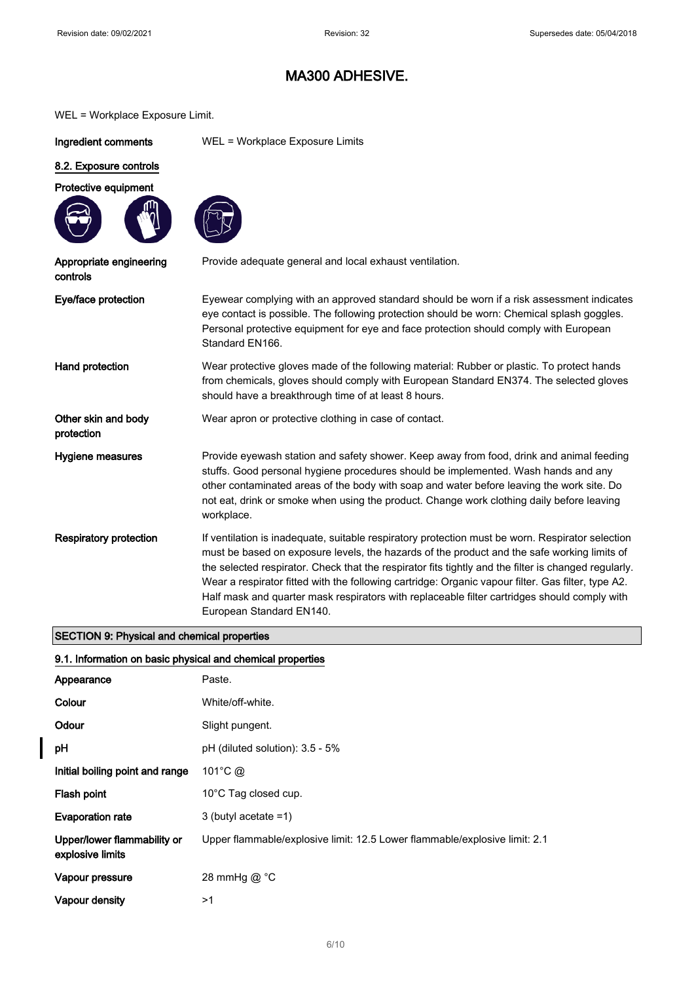#### WEL = Workplace Exposure Limit.

Ingredient comments WEL = Workplace Exposure Limits

#### 8.2. Exposure controls

#### Protective equipment



Appropriate engineering

controls



| Provide adequate general and local exhaust ventilation. |
|---------------------------------------------------------|
|---------------------------------------------------------|

| Eye/face protection                                                       | Eyewear complying with an approved standard should be worn if a risk assessment indicates<br>eye contact is possible. The following protection should be worn: Chemical splash goggles.<br>Personal protective equipment for eye and face protection should comply with European<br>Standard EN166.                                                                                                                                                                                                                                       |  |
|---------------------------------------------------------------------------|-------------------------------------------------------------------------------------------------------------------------------------------------------------------------------------------------------------------------------------------------------------------------------------------------------------------------------------------------------------------------------------------------------------------------------------------------------------------------------------------------------------------------------------------|--|
| Hand protection                                                           | Wear protective gloves made of the following material: Rubber or plastic. To protect hands<br>from chemicals, gloves should comply with European Standard EN374. The selected gloves<br>should have a breakthrough time of at least 8 hours.                                                                                                                                                                                                                                                                                              |  |
| Other skin and body<br>protection                                         | Wear apron or protective clothing in case of contact.                                                                                                                                                                                                                                                                                                                                                                                                                                                                                     |  |
| Hygiene measures                                                          | Provide eyewash station and safety shower. Keep away from food, drink and animal feeding<br>stuffs. Good personal hygiene procedures should be implemented. Wash hands and any<br>other contaminated areas of the body with soap and water before leaving the work site. Do<br>not eat, drink or smoke when using the product. Change work clothing daily before leaving<br>workplace.                                                                                                                                                    |  |
| <b>Respiratory protection</b>                                             | If ventilation is inadequate, suitable respiratory protection must be worn. Respirator selection<br>must be based on exposure levels, the hazards of the product and the safe working limits of<br>the selected respirator. Check that the respirator fits tightly and the filter is changed regularly.<br>Wear a respirator fitted with the following cartridge: Organic vapour filter. Gas filter, type A2.<br>Half mask and quarter mask respirators with replaceable filter cartridges should comply with<br>European Standard EN140. |  |
| $\mathsf{OPT}(\mathsf{C}\mathsf{N})$ . Blocked and there is a more set of |                                                                                                                                                                                                                                                                                                                                                                                                                                                                                                                                           |  |

### SECTION 9: Physical and chemical properties

#### 9.1. Information on basic physical and chemical properties

| Appearance                                      | Paste.                                                                     |  |  |  |
|-------------------------------------------------|----------------------------------------------------------------------------|--|--|--|
| Colour                                          | White/off-white.                                                           |  |  |  |
| Odour                                           | Slight pungent.                                                            |  |  |  |
| рH                                              | $pH$ (diluted solution): 3.5 - 5%                                          |  |  |  |
| Initial boiling point and range                 | 101°C $\omega$                                                             |  |  |  |
| Flash point                                     | 10°C Tag closed cup.                                                       |  |  |  |
| <b>Evaporation rate</b>                         | 3 (butyl acetate $=1$ )                                                    |  |  |  |
| Upper/lower flammability or<br>explosive limits | Upper flammable/explosive limit: 12.5 Lower flammable/explosive limit: 2.1 |  |  |  |
| Vapour pressure                                 | 28 mmHg $@$ °C                                                             |  |  |  |
| Vapour density                                  | >1                                                                         |  |  |  |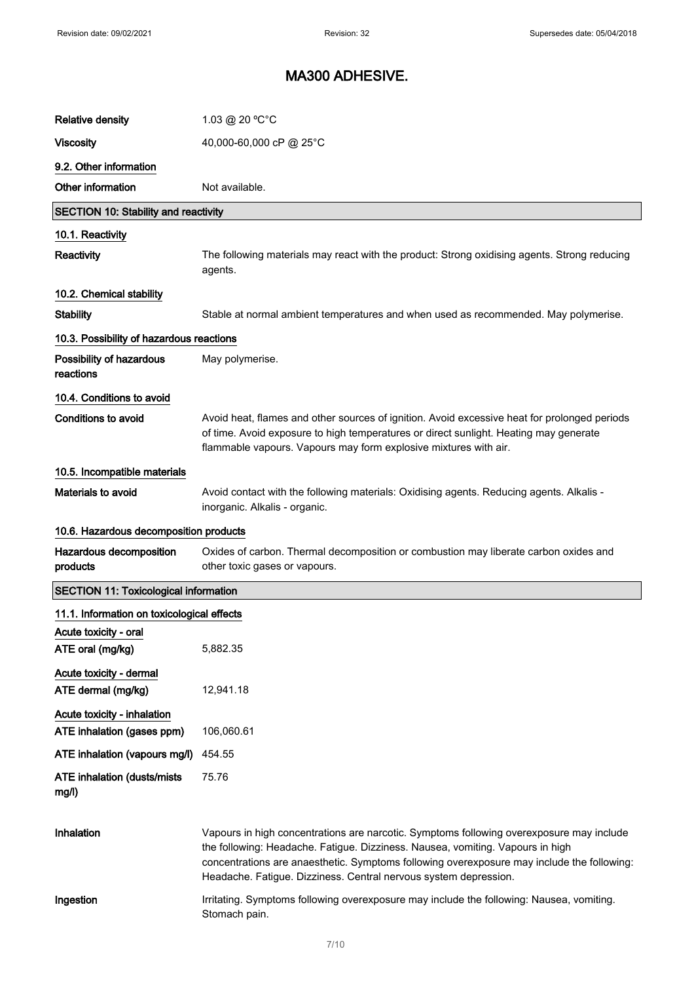| <b>Relative density</b>                       | $1.03 \ @ 20 °C °C$                                                                                                                                                                                                                                                                                                                          |  |  |  |  |  |
|-----------------------------------------------|----------------------------------------------------------------------------------------------------------------------------------------------------------------------------------------------------------------------------------------------------------------------------------------------------------------------------------------------|--|--|--|--|--|
| <b>Viscosity</b>                              | 40,000-60,000 cP @ 25°C                                                                                                                                                                                                                                                                                                                      |  |  |  |  |  |
| 9.2. Other information                        |                                                                                                                                                                                                                                                                                                                                              |  |  |  |  |  |
| Other information                             | Not available.                                                                                                                                                                                                                                                                                                                               |  |  |  |  |  |
| <b>SECTION 10: Stability and reactivity</b>   |                                                                                                                                                                                                                                                                                                                                              |  |  |  |  |  |
| 10.1. Reactivity                              |                                                                                                                                                                                                                                                                                                                                              |  |  |  |  |  |
| Reactivity                                    | The following materials may react with the product: Strong oxidising agents. Strong reducing<br>agents.                                                                                                                                                                                                                                      |  |  |  |  |  |
| 10.2. Chemical stability                      |                                                                                                                                                                                                                                                                                                                                              |  |  |  |  |  |
| <b>Stability</b>                              | Stable at normal ambient temperatures and when used as recommended. May polymerise.                                                                                                                                                                                                                                                          |  |  |  |  |  |
| 10.3. Possibility of hazardous reactions      |                                                                                                                                                                                                                                                                                                                                              |  |  |  |  |  |
| Possibility of hazardous<br>reactions         | May polymerise.                                                                                                                                                                                                                                                                                                                              |  |  |  |  |  |
| 10.4. Conditions to avoid                     |                                                                                                                                                                                                                                                                                                                                              |  |  |  |  |  |
| Conditions to avoid                           | Avoid heat, flames and other sources of ignition. Avoid excessive heat for prolonged periods<br>of time. Avoid exposure to high temperatures or direct sunlight. Heating may generate<br>flammable vapours. Vapours may form explosive mixtures with air.                                                                                    |  |  |  |  |  |
| 10.5. Incompatible materials                  |                                                                                                                                                                                                                                                                                                                                              |  |  |  |  |  |
| <b>Materials to avoid</b>                     | Avoid contact with the following materials: Oxidising agents. Reducing agents. Alkalis -<br>inorganic. Alkalis - organic.                                                                                                                                                                                                                    |  |  |  |  |  |
|                                               |                                                                                                                                                                                                                                                                                                                                              |  |  |  |  |  |
| 10.6. Hazardous decomposition products        |                                                                                                                                                                                                                                                                                                                                              |  |  |  |  |  |
| Hazardous decomposition<br>products           | Oxides of carbon. Thermal decomposition or combustion may liberate carbon oxides and<br>other toxic gases or vapours.                                                                                                                                                                                                                        |  |  |  |  |  |
| <b>SECTION 11: Toxicological information</b>  |                                                                                                                                                                                                                                                                                                                                              |  |  |  |  |  |
| 11.1. Information on toxicological effects    |                                                                                                                                                                                                                                                                                                                                              |  |  |  |  |  |
| Acute toxicity - oral<br>ATE oral (mg/kg)     | 5,882.35                                                                                                                                                                                                                                                                                                                                     |  |  |  |  |  |
| Acute toxicity - dermal<br>ATE dermal (mg/kg) | 12,941.18                                                                                                                                                                                                                                                                                                                                    |  |  |  |  |  |
| Acute toxicity - inhalation                   |                                                                                                                                                                                                                                                                                                                                              |  |  |  |  |  |
| ATE inhalation (gases ppm)                    | 106,060.61                                                                                                                                                                                                                                                                                                                                   |  |  |  |  |  |
| ATE inhalation (vapours mg/l)                 | 454.55                                                                                                                                                                                                                                                                                                                                       |  |  |  |  |  |
| <b>ATE inhalation (dusts/mists)</b><br>mg/l)  | 75.76                                                                                                                                                                                                                                                                                                                                        |  |  |  |  |  |
| Inhalation                                    | Vapours in high concentrations are narcotic. Symptoms following overexposure may include<br>the following: Headache. Fatigue. Dizziness. Nausea, vomiting. Vapours in high<br>concentrations are anaesthetic. Symptoms following overexposure may include the following:<br>Headache. Fatigue. Dizziness. Central nervous system depression. |  |  |  |  |  |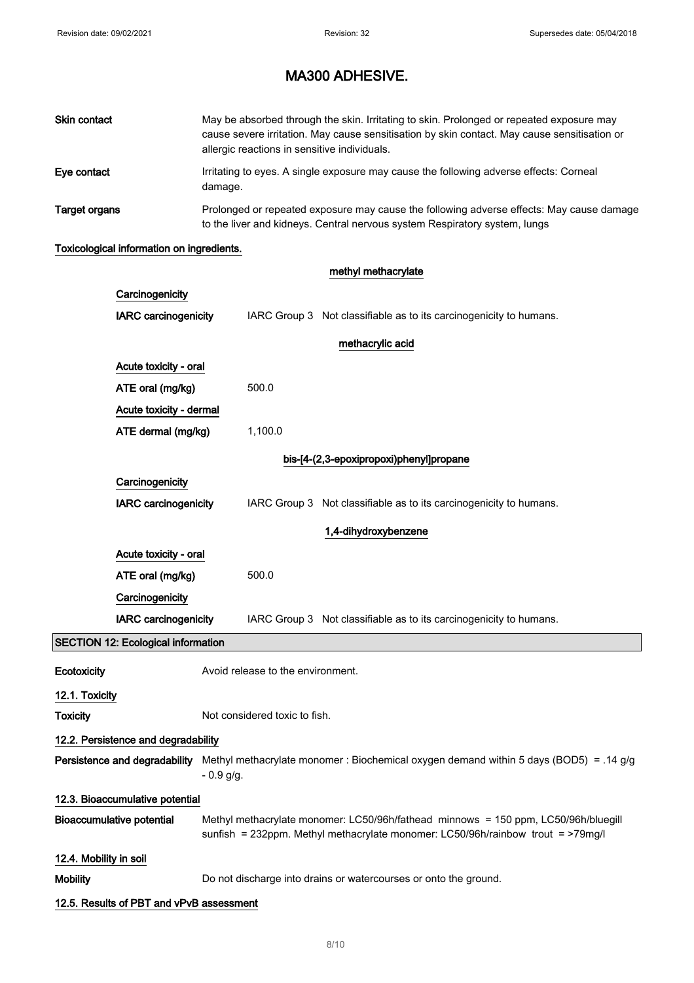| Skin contact  | May be absorbed through the skin. Irritating to skin. Prolonged or repeated exposure may<br>cause severe irritation. May cause sensitisation by skin contact. May cause sensitisation or<br>allergic reactions in sensitive individuals. |
|---------------|------------------------------------------------------------------------------------------------------------------------------------------------------------------------------------------------------------------------------------------|
| Eve contact   | Irritating to eyes. A single exposure may cause the following adverse effects: Corneal<br>damage.                                                                                                                                        |
| Target organs | Prolonged or repeated exposure may cause the following adverse effects: May cause damage<br>to the liver and kidneys. Central nervous system Respiratory system, lungs                                                                   |

### Toxicological information on ingredients.

|                                           | methyl methacrylate                                               |                               |                                   |                                                                                                                                                                       |
|-------------------------------------------|-------------------------------------------------------------------|-------------------------------|-----------------------------------|-----------------------------------------------------------------------------------------------------------------------------------------------------------------------|
|                                           | Carcinogenicity                                                   |                               |                                   |                                                                                                                                                                       |
|                                           | <b>IARC carcinogenicity</b>                                       |                               |                                   | IARC Group 3 Not classifiable as to its carcinogenicity to humans.                                                                                                    |
|                                           |                                                                   |                               |                                   | methacrylic acid                                                                                                                                                      |
|                                           | Acute toxicity - oral                                             |                               |                                   |                                                                                                                                                                       |
|                                           | ATE oral (mg/kg)<br>Acute toxicity - dermal<br>ATE dermal (mg/kg) |                               | 500.0                             |                                                                                                                                                                       |
|                                           |                                                                   |                               |                                   |                                                                                                                                                                       |
|                                           |                                                                   |                               | 1,100.0                           |                                                                                                                                                                       |
|                                           |                                                                   |                               |                                   | bis-[4-(2,3-epoxipropoxi)phenyl]propane                                                                                                                               |
|                                           | Carcinogenicity                                                   |                               |                                   |                                                                                                                                                                       |
|                                           | <b>IARC</b> carcinogenicity                                       |                               |                                   | IARC Group 3 Not classifiable as to its carcinogenicity to humans.                                                                                                    |
|                                           |                                                                   |                               |                                   | 1,4-dihydroxybenzene                                                                                                                                                  |
|                                           | Acute toxicity - oral                                             |                               |                                   |                                                                                                                                                                       |
|                                           | ATE oral (mg/kg)<br>Carcinogenicity                               |                               | 500.0                             |                                                                                                                                                                       |
|                                           |                                                                   |                               |                                   |                                                                                                                                                                       |
|                                           | <b>IARC</b> carcinogenicity                                       |                               |                                   | IARC Group 3 Not classifiable as to its carcinogenicity to humans.                                                                                                    |
| <b>SECTION 12: Ecological information</b> |                                                                   |                               |                                   |                                                                                                                                                                       |
| Ecotoxicity                               |                                                                   |                               | Avoid release to the environment. |                                                                                                                                                                       |
| 12.1. Toxicity                            |                                                                   |                               |                                   |                                                                                                                                                                       |
| <b>Toxicity</b>                           |                                                                   | Not considered toxic to fish. |                                   |                                                                                                                                                                       |
| 12.2. Persistence and degradability       |                                                                   |                               |                                   |                                                                                                                                                                       |
| Persistence and degradability             |                                                                   | $-0.9$ g/g.                   |                                   | Methyl methacrylate monomer : Biochemical oxygen demand within 5 days (BOD5) = .14 g/g                                                                                |
|                                           | 12.3. Bioaccumulative potential                                   |                               |                                   |                                                                                                                                                                       |
| <b>Bioaccumulative potential</b>          |                                                                   |                               |                                   | Methyl methacrylate monomer: LC50/96h/fathead minnows = 150 ppm, LC50/96h/bluegill<br>sunfish = 232ppm. Methyl methacrylate monomer: LC50/96h/rainbow trout = >79mg/l |
| 12.4. Mobility in soil                    |                                                                   |                               |                                   |                                                                                                                                                                       |
| <b>Mobility</b>                           |                                                                   |                               |                                   | Do not discharge into drains or watercourses or onto the ground.                                                                                                      |
|                                           | 12.5. Results of PBT and vPvB assessment                          |                               |                                   |                                                                                                                                                                       |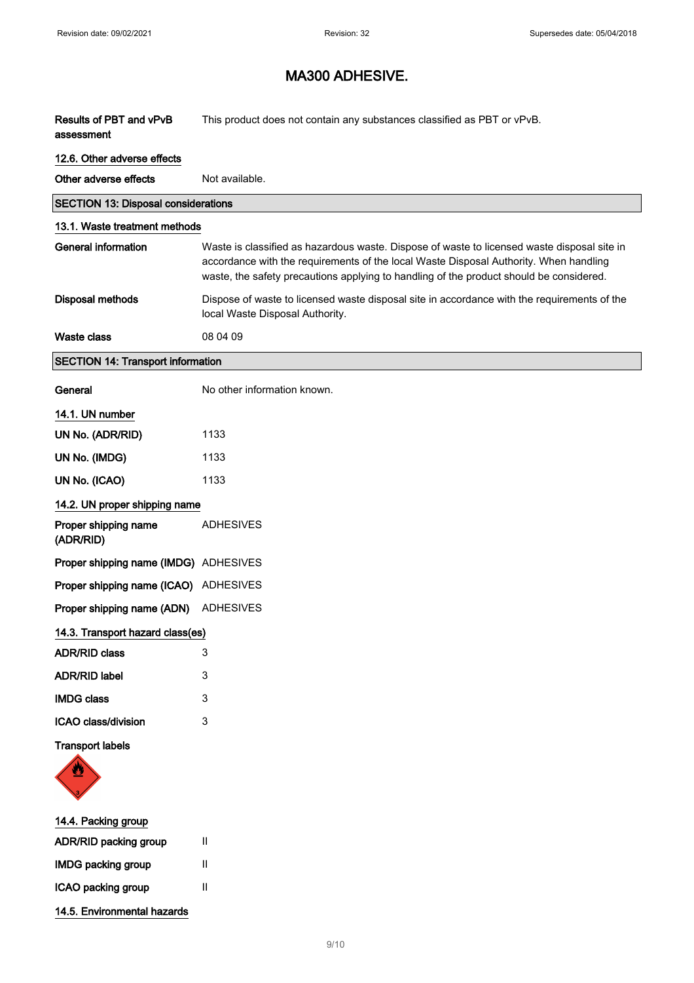| Results of PBT and vPvB<br>assessment      | This product does not contain any substances classified as PBT or vPvB.                                                                                                                                                                                                         |  |
|--------------------------------------------|---------------------------------------------------------------------------------------------------------------------------------------------------------------------------------------------------------------------------------------------------------------------------------|--|
| 12.6. Other adverse effects                |                                                                                                                                                                                                                                                                                 |  |
| Other adverse effects                      | Not available.                                                                                                                                                                                                                                                                  |  |
| <b>SECTION 13: Disposal considerations</b> |                                                                                                                                                                                                                                                                                 |  |
| 13.1. Waste treatment methods              |                                                                                                                                                                                                                                                                                 |  |
| <b>General information</b>                 | Waste is classified as hazardous waste. Dispose of waste to licensed waste disposal site in<br>accordance with the requirements of the local Waste Disposal Authority. When handling<br>waste, the safety precautions applying to handling of the product should be considered. |  |
| <b>Disposal methods</b>                    | Dispose of waste to licensed waste disposal site in accordance with the requirements of the<br>local Waste Disposal Authority.                                                                                                                                                  |  |
| <b>Waste class</b>                         | 08 04 09                                                                                                                                                                                                                                                                        |  |
| <b>SECTION 14: Transport information</b>   |                                                                                                                                                                                                                                                                                 |  |
| General                                    | No other information known.                                                                                                                                                                                                                                                     |  |
| 14.1. UN number                            |                                                                                                                                                                                                                                                                                 |  |
| UN No. (ADR/RID)                           | 1133                                                                                                                                                                                                                                                                            |  |
| UN No. (IMDG)                              | 1133                                                                                                                                                                                                                                                                            |  |
| UN No. (ICAO)                              | 1133                                                                                                                                                                                                                                                                            |  |
| 14.2. UN proper shipping name              |                                                                                                                                                                                                                                                                                 |  |
| Proper shipping name<br>(ADR/RID)          | <b>ADHESIVES</b>                                                                                                                                                                                                                                                                |  |
| Proper shipping name (IMDG) ADHESIVES      |                                                                                                                                                                                                                                                                                 |  |
| Proper shipping name (ICAO) ADHESIVES      |                                                                                                                                                                                                                                                                                 |  |
| Proper shipping name (ADN)                 | ADHESIVES                                                                                                                                                                                                                                                                       |  |
| 14.3. Transport hazard class(es)           |                                                                                                                                                                                                                                                                                 |  |
| <b>ADR/RID class</b>                       | 3                                                                                                                                                                                                                                                                               |  |
| <b>ADR/RID label</b>                       | 3                                                                                                                                                                                                                                                                               |  |
| <b>IMDG class</b>                          | 3                                                                                                                                                                                                                                                                               |  |
| ICAO class/division                        | 3                                                                                                                                                                                                                                                                               |  |
| <b>Transport labels</b>                    |                                                                                                                                                                                                                                                                                 |  |
| 14.4. Packing group                        |                                                                                                                                                                                                                                                                                 |  |
| ADR/RID packing group                      | Ш                                                                                                                                                                                                                                                                               |  |

14.5. Environmental hazards

IMDG packing group II ICAO packing group II